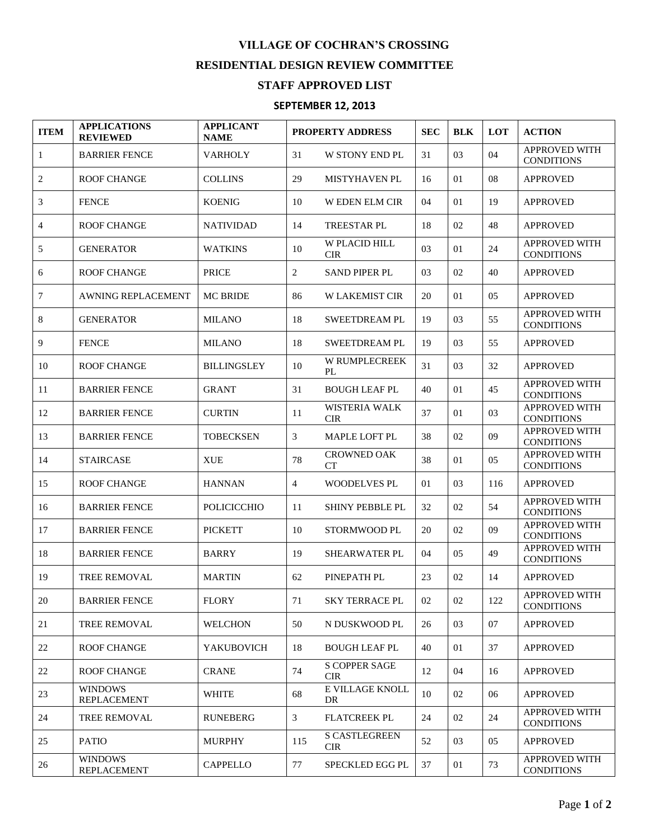## **VILLAGE OF COCHRAN'S CROSSING RESIDENTIAL DESIGN REVIEW COMMITTEE**

## **STAFF APPROVED LIST**

## **SEPTEMBER 12, 2013**

| <b>ITEM</b>    | <b>APPLICATIONS</b><br><b>REVIEWED</b> | <b>APPLICANT</b><br><b>NAME</b> | <b>PROPERTY ADDRESS</b> |                                    | <b>SEC</b> | <b>BLK</b> | <b>LOT</b>     | <b>ACTION</b>                             |
|----------------|----------------------------------------|---------------------------------|-------------------------|------------------------------------|------------|------------|----------------|-------------------------------------------|
| $\mathbf{1}$   | <b>BARRIER FENCE</b>                   | <b>VARHOLY</b>                  | 31                      | <b>W STONY END PL</b>              | 31         | 03         | 04             | APPROVED WITH<br><b>CONDITIONS</b>        |
| 2              | <b>ROOF CHANGE</b>                     | <b>COLLINS</b>                  | 29                      | <b>MISTYHAVEN PL</b>               | 16         | 01         | 08             | <b>APPROVED</b>                           |
| 3              | <b>FENCE</b>                           | <b>KOENIG</b>                   | 10                      | <b>WEDEN ELM CIR</b>               | 04         | 01         | 19             | <b>APPROVED</b>                           |
| $\overline{4}$ | <b>ROOF CHANGE</b>                     | <b>NATIVIDAD</b>                | 14                      | <b>TREESTAR PL</b>                 | 18         | 02         | 48             | <b>APPROVED</b>                           |
| 5              | <b>GENERATOR</b>                       | <b>WATKINS</b>                  | 10                      | W PLACID HILL<br><b>CIR</b>        | 03         | 01         | 24             | <b>APPROVED WITH</b><br><b>CONDITIONS</b> |
| 6              | <b>ROOF CHANGE</b>                     | <b>PRICE</b>                    | $\overline{2}$          | <b>SAND PIPER PL</b>               | 03         | 02         | 40             | <b>APPROVED</b>                           |
| 7              | <b>AWNING REPLACEMENT</b>              | <b>MC BRIDE</b>                 | 86                      | <b>W LAKEMIST CIR</b>              | 20         | 01         | 05             | <b>APPROVED</b>                           |
| 8              | <b>GENERATOR</b>                       | <b>MILANO</b>                   | 18                      | <b>SWEETDREAM PL</b>               | 19         | 03         | 55             | APPROVED WITH<br><b>CONDITIONS</b>        |
| 9              | <b>FENCE</b>                           | <b>MILANO</b>                   | 18                      | <b>SWEETDREAM PL</b>               | 19         | 03         | 55             | <b>APPROVED</b>                           |
| 10             | <b>ROOF CHANGE</b>                     | <b>BILLINGSLEY</b>              | 10                      | W RUMPLECREEK<br>PL                | 31         | 03         | 32             | <b>APPROVED</b>                           |
| 11             | <b>BARRIER FENCE</b>                   | <b>GRANT</b>                    | 31                      | <b>BOUGH LEAF PL</b>               | 40         | 01         | 45             | <b>APPROVED WITH</b><br><b>CONDITIONS</b> |
| 12             | <b>BARRIER FENCE</b>                   | <b>CURTIN</b>                   | 11                      | WISTERIA WALK<br><b>CIR</b>        | 37         | 01         | 03             | <b>APPROVED WITH</b><br><b>CONDITIONS</b> |
| 13             | <b>BARRIER FENCE</b>                   | <b>TOBECKSEN</b>                | 3                       | MAPLE LOFT PL                      | 38         | 02         | 09             | <b>APPROVED WITH</b><br><b>CONDITIONS</b> |
| 14             | <b>STAIRCASE</b>                       | <b>XUE</b>                      | 78                      | <b>CROWNED OAK</b><br><b>CT</b>    | 38         | 01         | 0 <sub>5</sub> | APPROVED WITH<br><b>CONDITIONS</b>        |
| 15             | <b>ROOF CHANGE</b>                     | <b>HANNAN</b>                   | $\overline{4}$          | <b>WOODELVES PL</b>                | 01         | 03         | 116            | <b>APPROVED</b>                           |
| 16             | <b>BARRIER FENCE</b>                   | <b>POLICICCHIO</b>              | 11                      | SHINY PEBBLE PL                    | 32         | 02         | 54             | <b>APPROVED WITH</b><br><b>CONDITIONS</b> |
| 17             | <b>BARRIER FENCE</b>                   | <b>PICKETT</b>                  | 10                      | STORMWOOD PL                       | 20         | 02         | 09             | APPROVED WITH<br><b>CONDITIONS</b>        |
| 18             | <b>BARRIER FENCE</b>                   | <b>BARRY</b>                    | 19                      | <b>SHEARWATER PL</b>               | 04         | 05         | 49             | APPROVED WITH<br><b>CONDITIONS</b>        |
| 19             | TREE REMOVAL                           | <b>MARTIN</b>                   | 62                      | PINEPATH PL                        | 23         | 02         | 14             | <b>APPROVED</b>                           |
| $20\,$         | <b>BARRIER FENCE</b>                   | <b>FLORY</b>                    | 71                      | <b>SKY TERRACE PL</b>              | 02         | 02         | 122            | APPROVED WITH<br><b>CONDITIONS</b>        |
| 21             | <b>TREE REMOVAL</b>                    | <b>WELCHON</b>                  | 50                      | N DUSKWOOD PL                      | 26         | 03         | 07             | <b>APPROVED</b>                           |
| 22             | <b>ROOF CHANGE</b>                     | <b>YAKUBOVICH</b>               | 18                      | <b>BOUGH LEAF PL</b>               | 40         | 01         | 37             | <b>APPROVED</b>                           |
| 22             | <b>ROOF CHANGE</b>                     | <b>CRANE</b>                    | 74                      | <b>S COPPER SAGE</b><br><b>CIR</b> | 12         | 04         | 16             | <b>APPROVED</b>                           |
| 23             | <b>WINDOWS</b><br><b>REPLACEMENT</b>   | WHITE                           | 68                      | E VILLAGE KNOLL<br>DR              | 10         | 02         | 06             | <b>APPROVED</b>                           |
| 24             | <b>TREE REMOVAL</b>                    | <b>RUNEBERG</b>                 | 3                       | <b>FLATCREEK PL</b>                | 24         | 02         | 24             | <b>APPROVED WITH</b><br><b>CONDITIONS</b> |
| 25             | <b>PATIO</b>                           | <b>MURPHY</b>                   | 115                     | <b>S CASTLEGREEN</b><br><b>CIR</b> | 52         | 03         | 05             | <b>APPROVED</b>                           |
| 26             | <b>WINDOWS</b><br><b>REPLACEMENT</b>   | <b>CAPPELLO</b>                 | 77                      | SPECKLED EGG PL                    | 37         | 01         | 73             | APPROVED WITH<br><b>CONDITIONS</b>        |